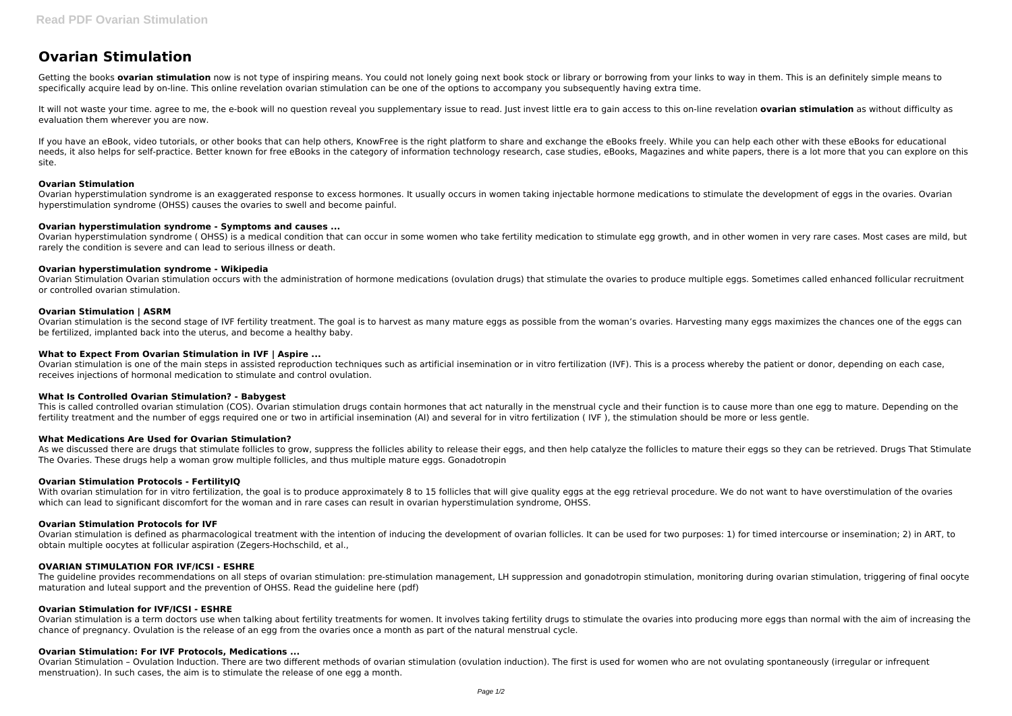# **Ovarian Stimulation**

Getting the books **ovarian stimulation** now is not type of inspiring means. You could not lonely going next book stock or library or borrowing from your links to way in them. This is an definitely simple means to specifically acquire lead by on-line. This online revelation ovarian stimulation can be one of the options to accompany you subsequently having extra time.

It will not waste your time, agree to me, the e-book will no question reveal you supplementary issue to read, lust invest little era to gain access to this on-line revelation ovarian stimulation as without difficulty as evaluation them wherever you are now.

If you have an eBook, video tutorials, or other books that can help others, KnowFree is the right platform to share and exchange the eBooks freely. While you can help each other with these eBooks for educational needs, it also helps for self-practice. Better known for free eBooks in the category of information technology research, case studies, eBooks, Magazines and white papers, there is a lot more that you can explore on this site.

Ovarian hyperstimulation syndrome (OHSS) is a medical condition that can occur in some women who take fertility medication to stimulate egg growth, and in other women in very rare cases. Most cases are mild, but rarely the condition is severe and can lead to serious illness or death.

## **Ovarian Stimulation**

Ovarian hyperstimulation syndrome is an exaggerated response to excess hormones. It usually occurs in women taking injectable hormone medications to stimulate the development of eggs in the ovaries. Ovarian hyperstimulation syndrome (OHSS) causes the ovaries to swell and become painful.

## **Ovarian hyperstimulation syndrome - Symptoms and causes ...**

As we discussed there are drugs that stimulate follicles to grow, suppress the follicles ability to release their eggs, and then help catalyze the follicles to mature their eggs so they can be retrieved. Drugs That Stimula The Ovaries. These drugs help a woman grow multiple follicles, and thus multiple mature eggs. Gonadotropin

## **Ovarian hyperstimulation syndrome - Wikipedia**

Ovarian Stimulation Ovarian stimulation occurs with the administration of hormone medications (ovulation drugs) that stimulate the ovaries to produce multiple eggs. Sometimes called enhanced follicular recruitment or controlled ovarian stimulation.

With ovarian stimulation for in vitro fertilization, the goal is to produce approximately 8 to 15 follicles that will give quality eggs at the egg retrieval procedure. We do not want to have overstimulation of the ovaries which can lead to significant discomfort for the woman and in rare cases can result in ovarian hyperstimulation syndrome, OHSS.

# **Ovarian Stimulation | ASRM**

Ovarian stimulation is the second stage of IVF fertility treatment. The goal is to harvest as many mature eggs as possible from the woman's ovaries. Harvesting many eggs maximizes the chances one of the eggs can be fertilized, implanted back into the uterus, and become a healthy baby.

# **What to Expect From Ovarian Stimulation in IVF | Aspire ...**

Ovarian stimulation is a term doctors use when talking about fertility treatments for women. It involves taking fertility drugs to stimulate the ovaries into producing more eggs than normal with the aim of increasing the chance of pregnancy. Ovulation is the release of an egg from the ovaries once a month as part of the natural menstrual cycle.

Ovarian stimulation is one of the main steps in assisted reproduction techniques such as artificial insemination or in vitro fertilization (IVF). This is a process whereby the patient or donor, depending on each case, receives injections of hormonal medication to stimulate and control ovulation.

## **What Is Controlled Ovarian Stimulation? - Babygest**

This is called controlled ovarian stimulation (COS). Ovarian stimulation drugs contain hormones that act naturally in the menstrual cycle and their function is to cause more than one egg to mature. Depending on the fertility treatment and the number of eggs required one or two in artificial insemination (AI) and several for in vitro fertilization ( IVF ), the stimulation should be more or less gentle.

## **What Medications Are Used for Ovarian Stimulation?**

## **Ovarian Stimulation Protocols - FertilityIQ**

## **Ovarian Stimulation Protocols for IVF**

Ovarian stimulation is defined as pharmacological treatment with the intention of inducing the development of ovarian follicles. It can be used for two purposes: 1) for timed intercourse or insemination; 2) in ART, to obtain multiple oocytes at follicular aspiration (Zegers-Hochschild, et al.,

## **OVARIAN STIMULATION FOR IVF/ICSI - ESHRE**

The guideline provides recommendations on all steps of ovarian stimulation: pre-stimulation management, LH suppression and gonadotropin stimulation, monitoring during ovarian stimulation, triggering of final oocyte maturation and luteal support and the prevention of OHSS. Read the guideline here (pdf)

## **Ovarian Stimulation for IVF/ICSI - ESHRE**

# **Ovarian Stimulation: For IVF Protocols, Medications ...**

Ovarian Stimulation – Ovulation Induction. There are two different methods of ovarian stimulation (ovulation induction). The first is used for women who are not ovulating spontaneously (irregular or infrequent menstruation). In such cases, the aim is to stimulate the release of one egg a month.